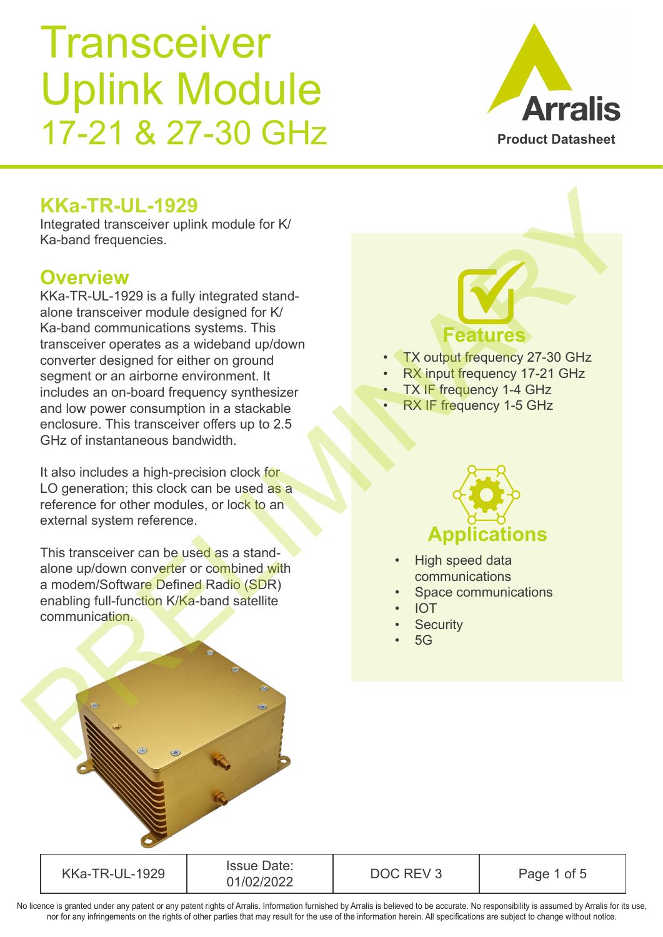### KKa-TR-UL-1929 Issue Date: Sale Date.<br>01/02/2022 DOC REV 3 Page 1 of 5 No licence is granted under any patent or any patent rights of Arralis. Information furnished by Arralis is believed to be accurate. No responsibility is assumed by Arralis for its use,

**Transceiver** Uplink Module 17-21 & 27-30 GHz

## **KKa-TR-UL-1929**

Integrated transceiver uplink module for K/ Ka-band frequencies.

## **Overview**

KKa-TR-UL-1929 is a fully integrated standalone transceiver module designed for K/ Ka-band communications systems. This transceiver operates as a wideband up/down converter designed for either on ground segment or an airborne environment. It includes an on-board frequency synthesizer and low power consumption in a stackable enclosure. This transceiver offers up to 2.5 GHz of instantaneous bandwidth. **Example de tansceive constrained to the constrained to the constrained to the constrained to the constrained to the constrained to the constrained to the constrained to the constrained to the constrained to the constrain** 

It also includes a high-precision clock for LO generation; this clock can be used as a reference for other modules, or lock to an external system reference.

This transceiver can be used as a standalone up/down converter or combined with a modem/Software Defined Radio (SDR) enabling full-function K/Ka-band satellite communication.

nor for any infringements on the rights of other parties that may result for the use of the information herein. All specifications are subject to change without notice.

**Features** TX output frequency 27-30 GHz RX input frequency 17-21 GHz **TX IF frequency 1-4 GHz** 



- High speed data communications
- Space communications
- IOT
- **Security**
- 5G

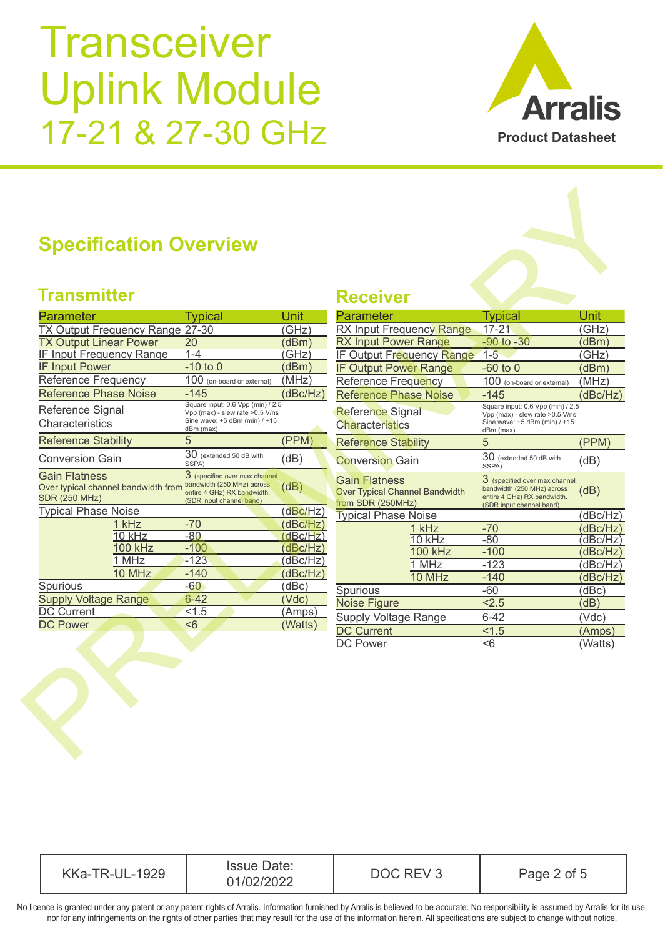

## **Specification Overview**

### **Transmitter Receiver**

| <b>Parameter</b>                                                             |               | Typical                                                                                                                | Unit     |  |
|------------------------------------------------------------------------------|---------------|------------------------------------------------------------------------------------------------------------------------|----------|--|
| TX Output Frequency Range 27-30                                              |               |                                                                                                                        | (GHz)    |  |
| <b>TX Output Linear Power</b>                                                |               | 20                                                                                                                     | ′dBm`    |  |
| <u>IF Input Frequency Range</u>                                              |               | $1 - 4$                                                                                                                | GHz      |  |
| <b>IF Input Power</b>                                                        |               | $-10$ to $0$                                                                                                           | (dBm     |  |
| Reference Frequency                                                          |               | 100 (on-board or external)                                                                                             | (MHz     |  |
| <b>Reference Phase Noise</b>                                                 |               | $-145$                                                                                                                 | (dBc/Hz) |  |
| Reference Signal<br>Characteristics                                          |               | Square input: 0.6 Vpp (min) / 2.5<br>Vpp (max) - slew rate > 0.5 V/ns<br>Sine wave: +5 dBm (min) / +15<br>dBm (max)    |          |  |
| <b>Reference Stability</b>                                                   |               | 5                                                                                                                      | (PPM)    |  |
| <b>Conversion Gain</b>                                                       |               | $30$ (extended 50 dB with<br>SSPA)                                                                                     | (dB)     |  |
| Gain Flatness<br>Over typical channel bandwidth from<br><b>SDR (250 MHz)</b> |               | 3 (specified over max channel<br>bandwidth (250 MHz) across<br>entire 4 GHz) RX bandwidth.<br>(SDR input channel band) | (dB)     |  |
| <b>Typical Phase Noise</b>                                                   |               |                                                                                                                        | (dBc/Hz  |  |
|                                                                              | 1 kHz         | $-70$                                                                                                                  | (dBc/Hz  |  |
|                                                                              | 10 kHz        | $-80$                                                                                                                  | dBc/l    |  |
|                                                                              | 100 kHz       | $-100$                                                                                                                 | dBc/Hz   |  |
|                                                                              | 1 MHz         | $-123$                                                                                                                 | (dBc/Hz  |  |
|                                                                              | <b>10 MHz</b> | $-140$                                                                                                                 | dBc/Hz   |  |
| Spurious                                                                     |               | -60                                                                                                                    | (dBc)    |  |
| <b>Supply Voltage Range</b>                                                  |               | $6 - 42$                                                                                                               | (Vdc)    |  |
| <b>DC Current</b>                                                            |               | < 1.5                                                                                                                  | (Amps)   |  |
| <b>DC Power</b>                                                              |               | < 6                                                                                                                    | (Watts   |  |
|                                                                              |               |                                                                                                                        |          |  |

| <b>Transmitter</b>                                                                  |                                                                                                                        |          | <b>Receiver</b>                                                                    |                                                                                                                          |          |
|-------------------------------------------------------------------------------------|------------------------------------------------------------------------------------------------------------------------|----------|------------------------------------------------------------------------------------|--------------------------------------------------------------------------------------------------------------------------|----------|
| Parameter                                                                           | <b>Typical</b>                                                                                                         | Unit     | <b>Parameter</b>                                                                   | <b>Typical</b>                                                                                                           | Unit     |
| TX Output Frequency Range 27-30                                                     |                                                                                                                        | (GHz)    | RX Input Frequency Range                                                           | $17 - 21$                                                                                                                | (GHz)    |
| <b>TX Output Linear Power</b>                                                       | 20                                                                                                                     | (dBm)    | <b>RX Input Power Range</b>                                                        | $-90$ to $-30$                                                                                                           | (dBm)    |
| <b>IF Input Frequency Range</b>                                                     | $1 - 4$                                                                                                                | (GHz)    | IF Output Frequency Range                                                          | $1-5$                                                                                                                    | (GHz)    |
| <b>IF Input Power</b>                                                               | $-10$ to $0$                                                                                                           | (dBm)    | <b>IF Output Power Range</b>                                                       | $-60$ to $0$                                                                                                             | (dBm)    |
| Reference Frequency                                                                 | 100 (on-board or external)                                                                                             | (MHz)    | <b>Reference Frequency</b>                                                         | 100 (on-board or external)                                                                                               | (MHz)    |
| <b>Reference Phase Noise</b>                                                        | $-145$                                                                                                                 | (dBc/Hz) | <b>Reference Phase Noise</b>                                                       | $-145$                                                                                                                   | (dBc/Hz) |
| Reference Signal<br>Characteristics                                                 | Square input: 0.6 Vpp (min) / 2.5<br>Vpp (max) - slew rate > 0.5 V/ns<br>Sine wave: +5 dBm (min) / +15<br>dBm (max)    |          | <b>Reference Signal</b><br><b>Characteristics</b>                                  | Square input: 0.6 Vpp (min) / 2.5<br>Vpp (max) - slew rate > 0.5 V/ns<br>Sine wave: +5 dBm (min) / +15<br>dBm (max)      |          |
| <b>Reference Stability</b>                                                          | 5                                                                                                                      | (PPM)    | <b>Reference Stability</b>                                                         | 5                                                                                                                        | (PPM)    |
| <b>Conversion Gain</b>                                                              | $\overline{30}$ (extended 50 dB with<br>SSPA)                                                                          | (dB)     | <b>Conversion Gain</b>                                                             | 30 (extended 50 dB with<br>SSPA)                                                                                         | (dB)     |
| <b>Gain Flatness</b><br>Over typical channel bandwidth from<br><b>SDR (250 MHz)</b> | 3 (specified over max channel<br>bandwidth (250 MHz) across<br>entire 4 GHz) RX bandwidth.<br>(SDR input channel band) | (dB)     | <b>Gain Flatness</b><br><b>Over Typical Channel Bandwidth</b><br>from SDR (250MHz) | $3$ (specified over max channel<br>bandwidth (250 MHz) across<br>entire 4 GHz) RX bandwidth.<br>(SDR input channel band) | (dB)     |
| <b>Typical Phase Noise</b>                                                          |                                                                                                                        | (dBc/Hz) | <b>Typical Phase Noise</b>                                                         |                                                                                                                          | (dBc/Hz) |
| 1 kHz                                                                               | $-70$                                                                                                                  | (dBc/Hz) | 1 kHz                                                                              | $-70$                                                                                                                    | (dBc/Hz) |
| 10 kHz                                                                              | $-80$                                                                                                                  | (dBc/Hz) | $10$ kHz                                                                           | $-80$                                                                                                                    | (dBc/Hz) |
| <b>100 kHz</b>                                                                      | $-100$                                                                                                                 | (dBc/Hz) | <b>100 kHz</b>                                                                     | $-100$                                                                                                                   | (dBc/Hz) |
| 1 MHz                                                                               | $-123$                                                                                                                 | (dBc/Hz) | 1 MHz                                                                              | $-123$                                                                                                                   | (dBc/Hz) |
| 10 MHz                                                                              | $-140$                                                                                                                 | (dBc/Hz) | 10 MHz                                                                             | $-140$                                                                                                                   | (dBc/Hz) |
| Spurious<br><b>Supply Voltage Range</b>                                             | $-60$<br>$6 - 42$                                                                                                      | (dBc)    | Spurious                                                                           | $-60$                                                                                                                    | (dBc)    |
|                                                                                     | < 1.5                                                                                                                  | (Vdc)    | <b>Noise Figure</b>                                                                | 2.5                                                                                                                      | (dB)     |
|                                                                                     |                                                                                                                        | (Amps)   | <b>Supply Voltage Range</b>                                                        | $6 - 42$                                                                                                                 | (Vdc)    |
| <b>DC Current</b>                                                                   |                                                                                                                        |          |                                                                                    |                                                                                                                          |          |
| <b>DC Power</b>                                                                     | $\overline{56}$                                                                                                        | (Watts)  | <b>DC Current</b><br><b>DC Power</b>                                               | 1.5                                                                                                                      | (Amps)   |

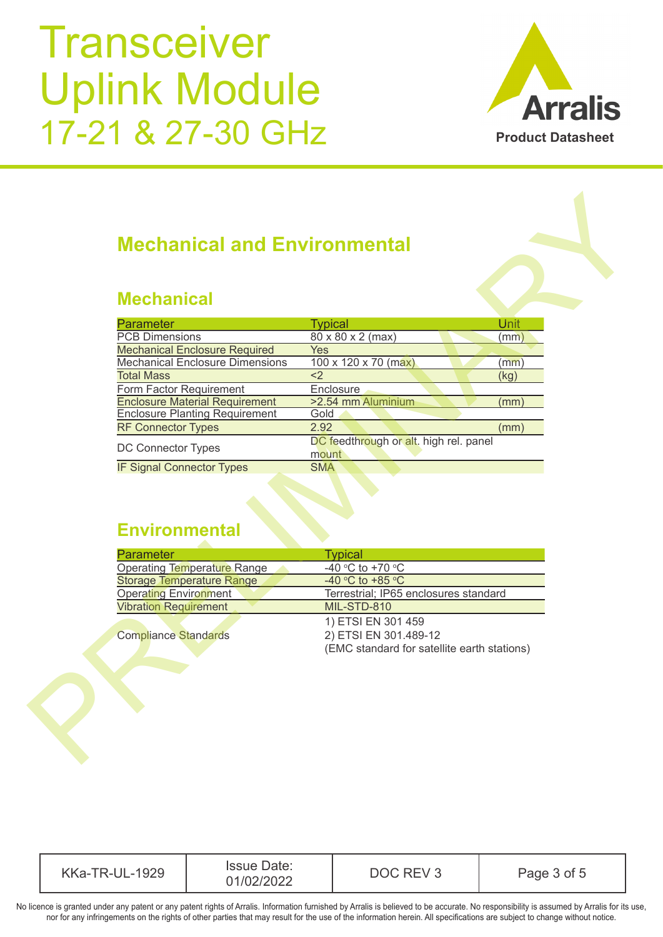

### **Mechanical**

| <b>Mechanical and Environmental</b>                                                                                                                                                                        |                                                                                                                                                                            |  |
|------------------------------------------------------------------------------------------------------------------------------------------------------------------------------------------------------------|----------------------------------------------------------------------------------------------------------------------------------------------------------------------------|--|
| <b>Mechanical</b>                                                                                                                                                                                          |                                                                                                                                                                            |  |
| Parameter                                                                                                                                                                                                  | <b>Typical</b><br><b>Unit</b>                                                                                                                                              |  |
| <b>PCB Dimensions</b>                                                                                                                                                                                      | 80 x 80 x 2 (max)<br>(mm)                                                                                                                                                  |  |
| <b>Mechanical Enclosure Required</b><br>Yes                                                                                                                                                                |                                                                                                                                                                            |  |
| <b>Mechanical Enclosure Dimensions</b>                                                                                                                                                                     | $100 \times 120 \times 70$ (max)<br>(mm)                                                                                                                                   |  |
| <b>Total Mass</b><br>$\overline{2}$                                                                                                                                                                        | (kg)                                                                                                                                                                       |  |
| Form Factor Requirement                                                                                                                                                                                    | Enclosure                                                                                                                                                                  |  |
| <b>Enclosure Material Requirement</b>                                                                                                                                                                      | >2.54 mm Aluminium<br>(mm)                                                                                                                                                 |  |
| <b>Enclosure Planting Requirement</b><br>Gold                                                                                                                                                              |                                                                                                                                                                            |  |
| 2.92<br><b>RF Connector Types</b>                                                                                                                                                                          | (mm)                                                                                                                                                                       |  |
| DC Connector Types                                                                                                                                                                                         | DC feedthrough or alt. high rel. panel<br>mount                                                                                                                            |  |
| <b>IF Signal Connector Types</b>                                                                                                                                                                           | <b>SMA</b>                                                                                                                                                                 |  |
|                                                                                                                                                                                                            |                                                                                                                                                                            |  |
| <b>Environmental</b><br>Parameter<br><b>Operating Temperature Range</b><br><b>Storage Temperature Range</b><br><b>Operating Environment</b><br><b>Vibration Requirement</b><br><b>Compliance Standards</b> | <b>Typical</b><br>$-40$ °C to +70 °C<br>$-40 °C$ to $+85 °C$<br>Terrestrial; IP65 enclosures standard<br><b>MIL-STD-810</b><br>1) ETSI EN 301 459<br>2) ETSI EN 301.489-12 |  |

| <b>Parameter</b>                   | <b>Typical</b>                              |
|------------------------------------|---------------------------------------------|
| <b>Operating Temperature Range</b> | -40 °C to +70 °C                            |
| <b>Storage Temperature Range</b>   | -40 °C to +85 °C                            |
| <b>Operating Environment</b>       | Terrestrial; IP65 enclosures standard       |
| <b>Vibration Requirement</b>       | MIL-STD-810                                 |
|                                    | 1) ETSI EN 301 459                          |
| <b>Compliance Standards</b>        | 2) ETSI EN 301.489-12                       |
|                                    | (EMC standard for satellite earth stations) |

| <b>Issue Date:</b><br>KKa-,<br>1929<br><u>_</u><br>₹–1<br>$\mathbf{H}$ $\mathbf{H}$<br>12022<br>-←)←← | JUC. | of 5<br>-<br>Page |
|-------------------------------------------------------------------------------------------------------|------|-------------------|
|-------------------------------------------------------------------------------------------------------|------|-------------------|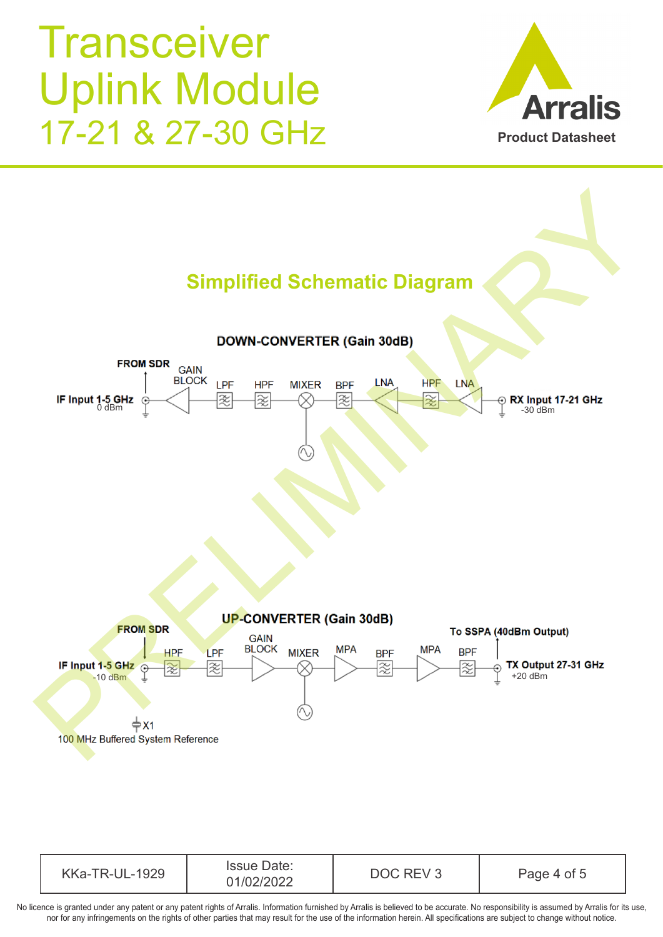